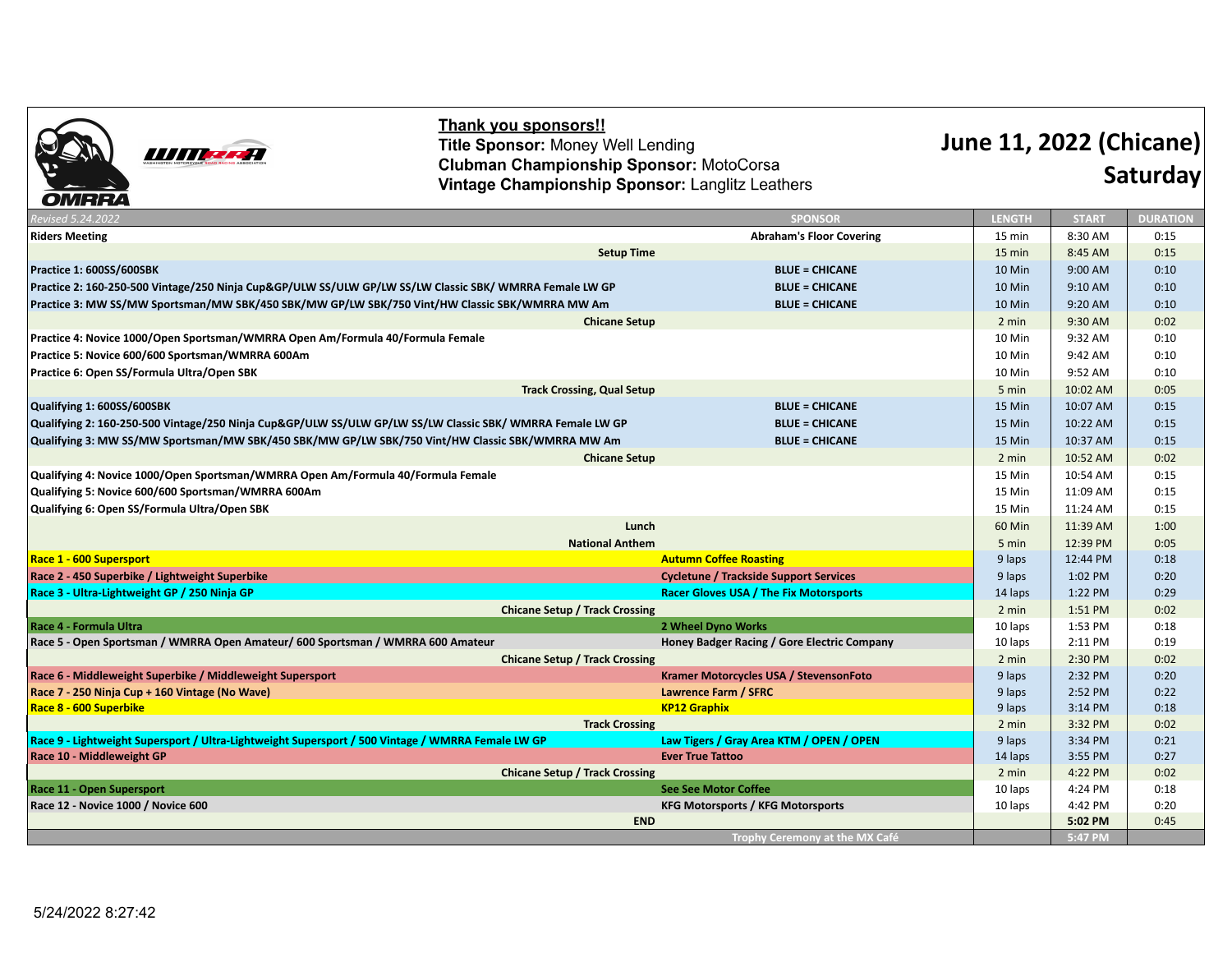

Thank you sponsors!! Title Sponsor: Money Well Lending **Clubman Championship Sponsor: MotoCorsa** Vintage Championship Sponsor: Langlitz Leathers

## **June 11, 2022 (Chicane) Saturday**

| Revised 5.24.2022                                                                                         | <b>SPONSOR</b>                                | <b>LENGTH</b>      | <b>START</b>       | <b>DURATION</b> |
|-----------------------------------------------------------------------------------------------------------|-----------------------------------------------|--------------------|--------------------|-----------------|
| <b>Riders Meeting</b>                                                                                     | <b>Abraham's Floor Covering</b>               | 15 min             | 8:30 AM            | 0:15            |
| <b>Setup Time</b>                                                                                         |                                               |                    | 8:45 AM            | 0:15            |
| Practice 1: 600SS/600SBK                                                                                  | <b>BLUE = CHICANE</b>                         | 10 Min             | 9:00 AM            | 0:10            |
| Practice 2: 160-250-500 Vintage/250 Ninja Cup&GP/ULW SS/ULW GP/LW SS/LW Classic SBK/ WMRRA Female LW GP   | <b>BLUE = CHICANE</b>                         | 10 Min             | 9:10 AM            | 0:10            |
| Practice 3: MW SS/MW Sportsman/MW SBK/450 SBK/MW GP/LW SBK/750 Vint/HW Classic SBK/WMRRA MW Am            | <b>BLUE = CHICANE</b>                         | 10 Min             | 9:20 AM            | 0:10            |
| <b>Chicane Setup</b>                                                                                      |                                               | 2 min              | 9:30 AM            | 0:02            |
| Practice 4: Novice 1000/Open Sportsman/WMRRA Open Am/Formula 40/Formula Female                            |                                               | 10 Min             | 9:32 AM            | 0:10            |
| Practice 5: Novice 600/600 Sportsman/WMRRA 600Am                                                          |                                               | 10 Min             | 9:42 AM            | 0:10            |
| Practice 6: Open SS/Formula Ultra/Open SBK                                                                |                                               | 10 Min             | 9:52 AM            | 0:10            |
| <b>Track Crossing, Qual Setup</b>                                                                         |                                               | 5 min              | 10:02 AM           | 0:05            |
| Qualifying 1: 600SS/600SBK                                                                                | <b>BLUE = CHICANE</b>                         | 15 Min             | 10:07 AM           | 0:15            |
| Qualifying 2: 160-250-500 Vintage/250 Ninja Cup&GP/ULW SS/ULW GP/LW SS/LW Classic SBK/ WMRRA Female LW GP | <b>BLUE = CHICANE</b>                         | 15 Min             | 10:22 AM           | 0:15            |
| Qualifying 3: MW SS/MW Sportsman/MW SBK/450 SBK/MW GP/LW SBK/750 Vint/HW Classic SBK/WMRRA MW Am          | <b>BLUE = CHICANE</b>                         | 15 Min             | 10:37 AM           | 0:15            |
| <b>Chicane Setup</b>                                                                                      |                                               |                    |                    | 0:02            |
| Qualifying 4: Novice 1000/Open Sportsman/WMRRA Open Am/Formula 40/Formula Female                          |                                               |                    | 10:54 AM           | 0:15            |
| Qualifying 5: Novice 600/600 Sportsman/WMRRA 600Am                                                        |                                               |                    | 11:09 AM           | 0:15            |
| Qualifying 6: Open SS/Formula Ultra/Open SBK                                                              |                                               |                    | 11:24 AM           | 0:15            |
| Lunch                                                                                                     |                                               |                    | 11:39 AM           | 1:00            |
| <b>National Anthem</b>                                                                                    |                                               |                    | 12:39 PM           | 0:05            |
| Race 1 - 600 Supersport                                                                                   | <b>Autumn Coffee Roasting</b>                 | 9 laps             | 12:44 PM           | 0:18            |
| Race 2 - 450 Superbike / Lightweight Superbike                                                            | <b>Cycletune / Trackside Support Services</b> | 9 laps             | 1:02 PM            | 0:20            |
| Race 3 - Ultra-Lightweight GP / 250 Ninja GP                                                              | <b>Racer Gloves USA / The Fix Motorsports</b> | 14 laps            | 1:22 PM            | 0:29            |
| <b>Chicane Setup / Track Crossing</b>                                                                     |                                               |                    | 1:51 PM            | 0:02            |
| Race 4 - Formula Ultra                                                                                    | 2 Wheel Dyno Works                            | 10 laps            | 1:53 PM            | 0:18            |
| Race 5 - Open Sportsman / WMRRA Open Amateur/ 600 Sportsman / WMRRA 600 Amateur                           | Honey Badger Racing / Gore Electric Company   | 10 laps            | 2:11 PM<br>2:30 PM | 0:19            |
| <b>Chicane Setup / Track Crossing</b>                                                                     |                                               |                    |                    | 0:02            |
| Race 6 - Middleweight Superbike / Middleweight Supersport                                                 | Kramer Motorcycles USA / StevensonFoto        | 9 laps             | 2:32 PM            | 0:20            |
| Race 7 - 250 Ninja Cup + 160 Vintage (No Wave)                                                            | <b>Lawrence Farm / SFRC</b>                   | 9 laps             | 2:52 PM            | 0:22            |
| <b>Race 8 - 600 Superbike</b>                                                                             | <b>KP12 Graphix</b>                           | 9 laps<br>2 min    | 3:14 PM<br>3:32 PM | 0:18            |
| <b>Track Crossing</b>                                                                                     |                                               |                    |                    | 0:02            |
| Race 9 - Lightweight Supersport / Ultra-Lightweight Supersport / 500 Vintage / WMRRA Female LW GP         | Law Tigers / Gray Area KTM / OPEN / OPEN      | 9 laps             | 3:34 PM            | 0:21            |
| Race 10 - Middleweight GP<br><b>Ever True Tattoo</b>                                                      |                                               | 14 laps<br>2 min   | 3:55 PM<br>4:22 PM | 0:27            |
| <b>Chicane Setup / Track Crossing</b><br><b>See See Motor Coffee</b><br>Race 11 - Open Supersport         |                                               |                    | 4:24 PM            | 0:02<br>0:18    |
| Race 12 - Novice 1000 / Novice 600                                                                        | <b>KFG Motorsports / KFG Motorsports</b>      | 10 laps<br>10 laps | 4:42 PM            | 0:20            |
|                                                                                                           | <b>END</b>                                    |                    | 5:02 PM            | 0:45            |
|                                                                                                           | Trophy Ceremony at the MX Café                |                    | $5:47$ PM          |                 |
|                                                                                                           |                                               |                    |                    |                 |